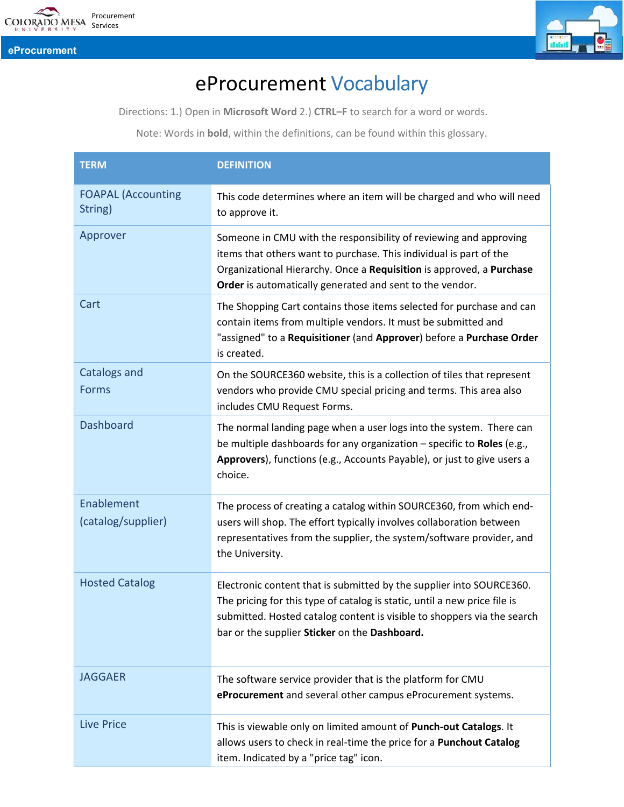

**eProcurement**



## eProcurement Vocabulary

Directions: 1.) Open in **Microsoft Word** 2.) **CTRL–F** to search for a word or words.

Note: Words in **bold**, within the definitions, can be found within this glossary.

| <b>TERM</b>                          | <b>DEFINITION</b>                                                                                                                                                                                                                                                             |
|--------------------------------------|-------------------------------------------------------------------------------------------------------------------------------------------------------------------------------------------------------------------------------------------------------------------------------|
| <b>FOAPAL (Accounting</b><br>String) | This code determines where an item will be charged and who will need<br>to approve it.                                                                                                                                                                                        |
| Approver                             | Someone in CMU with the responsibility of reviewing and approving<br>items that others want to purchase. This individual is part of the<br>Organizational Hierarchy. Once a Requisition is approved, a Purchase<br>Order is automatically generated and sent to the vendor.   |
| Cart                                 | The Shopping Cart contains those items selected for purchase and can<br>contain items from multiple vendors. It must be submitted and<br>"assigned" to a Requisitioner (and Approver) before a Purchase Order<br>is created.                                                  |
| Catalogs and<br><b>Forms</b>         | On the SOURCE360 website, this is a collection of tiles that represent<br>vendors who provide CMU special pricing and terms. This area also<br>includes CMU Request Forms.                                                                                                    |
| <b>Dashboard</b>                     | The normal landing page when a user logs into the system. There can<br>be multiple dashboards for any organization - specific to Roles (e.g.,<br>Approvers), functions (e.g., Accounts Payable), or just to give users a<br>choice.                                           |
| Enablement<br>(catalog/supplier)     | The process of creating a catalog within SOURCE360, from which end-<br>users will shop. The effort typically involves collaboration between<br>representatives from the supplier, the system/software provider, and<br>the University.                                        |
| <b>Hosted Catalog</b>                | Electronic content that is submitted by the supplier into SOURCE360.<br>The pricing for this type of catalog is static, until a new price file is<br>submitted. Hosted catalog content is visible to shoppers via the search<br>bar or the supplier Sticker on the Dashboard. |
| <b>JAGGAER</b>                       | The software service provider that is the platform for CMU<br>eProcurement and several other campus eProcurement systems.                                                                                                                                                     |
| <b>Live Price</b>                    | This is viewable only on limited amount of Punch-out Catalogs. It<br>allows users to check in real-time the price for a Punchout Catalog<br>item. Indicated by a "price tag" icon.                                                                                            |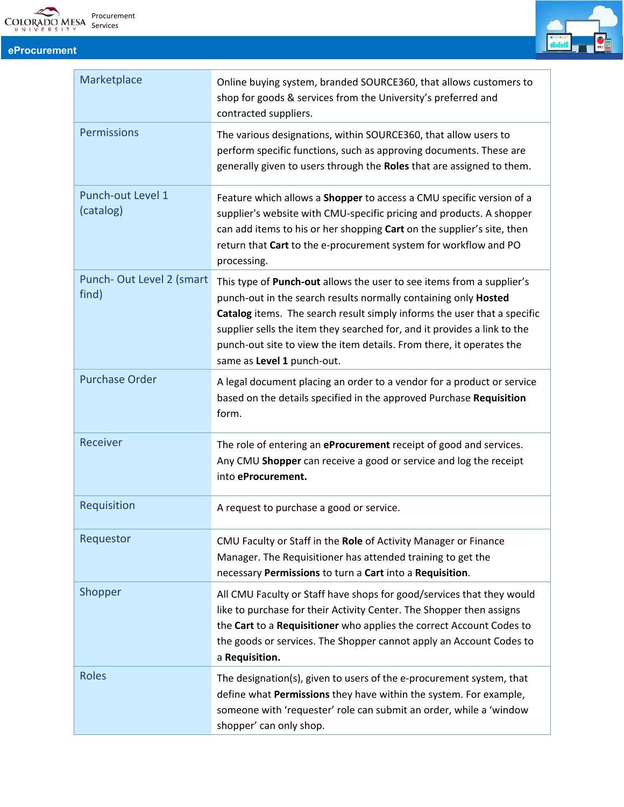

## **eProcurement**



| Marketplace                       | Online buying system, branded SOURCE360, that allows customers to<br>shop for goods & services from the University's preferred and<br>contracted suppliers.                                                                                                                                                                                                                                            |
|-----------------------------------|--------------------------------------------------------------------------------------------------------------------------------------------------------------------------------------------------------------------------------------------------------------------------------------------------------------------------------------------------------------------------------------------------------|
| <b>Permissions</b>                | The various designations, within SOURCE360, that allow users to<br>perform specific functions, such as approving documents. These are<br>generally given to users through the Roles that are assigned to them.                                                                                                                                                                                         |
| Punch-out Level 1<br>(catalog)    | Feature which allows a <b>Shopper</b> to access a CMU specific version of a<br>supplier's website with CMU-specific pricing and products. A shopper<br>can add items to his or her shopping Cart on the supplier's site, then<br>return that Cart to the e-procurement system for workflow and PO<br>processing.                                                                                       |
| Punch-Out Level 2 (smart<br>find) | This type of Punch-out allows the user to see items from a supplier's<br>punch-out in the search results normally containing only Hosted<br>Catalog items. The search result simply informs the user that a specific<br>supplier sells the item they searched for, and it provides a link to the<br>punch-out site to view the item details. From there, it operates the<br>same as Level 1 punch-out. |
| <b>Purchase Order</b>             | A legal document placing an order to a vendor for a product or service<br>based on the details specified in the approved Purchase Requisition<br>form.                                                                                                                                                                                                                                                 |
| Receiver                          | The role of entering an eProcurement receipt of good and services.<br>Any CMU Shopper can receive a good or service and log the receipt<br>into eProcurement.                                                                                                                                                                                                                                          |
| Requisition                       | A request to purchase a good or service.                                                                                                                                                                                                                                                                                                                                                               |
| Requestor                         | CMU Faculty or Staff in the Role of Activity Manager or Finance<br>Manager. The Requisitioner has attended training to get the<br>necessary Permissions to turn a Cart into a Requisition.                                                                                                                                                                                                             |
| Shopper                           | All CMU Faculty or Staff have shops for good/services that they would<br>like to purchase for their Activity Center. The Shopper then assigns<br>the Cart to a Requisitioner who applies the correct Account Codes to<br>the goods or services. The Shopper cannot apply an Account Codes to<br>a Requisition.                                                                                         |
| <b>Roles</b>                      | The designation(s), given to users of the e-procurement system, that<br>define what Permissions they have within the system. For example,<br>someone with 'requester' role can submit an order, while a 'window<br>shopper' can only shop.                                                                                                                                                             |